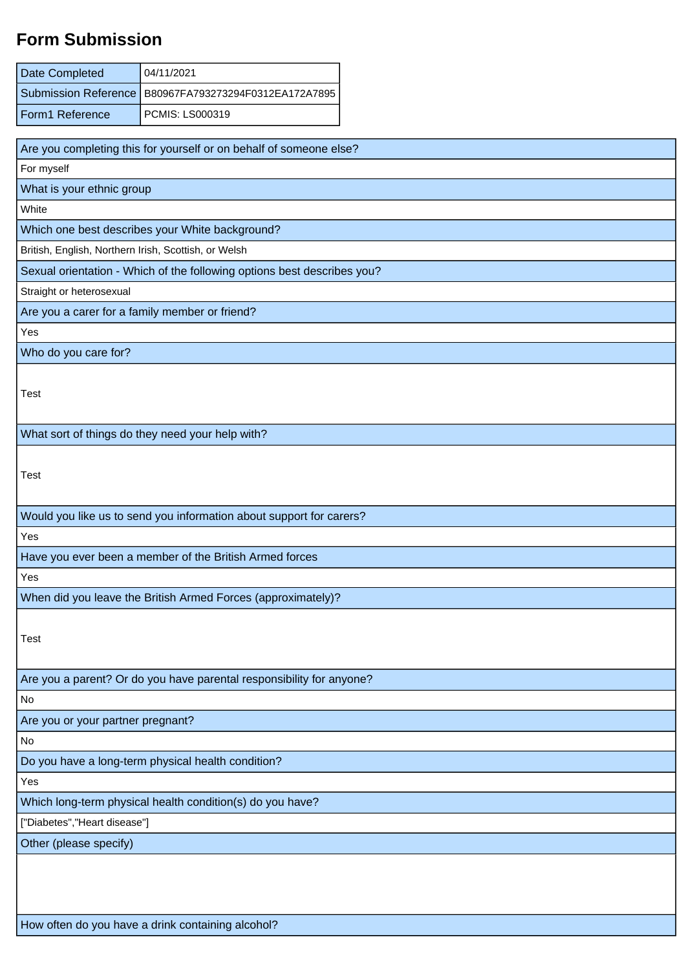## **Form Submission**

| Date Completed                                            | 04/11/2021                                                              |  |  |  |
|-----------------------------------------------------------|-------------------------------------------------------------------------|--|--|--|
| <b>Submission Reference</b>                               | B80967FA793273294F0312EA172A7895                                        |  |  |  |
| Form1 Reference                                           | PCMIS: LS000319                                                         |  |  |  |
|                                                           |                                                                         |  |  |  |
|                                                           | Are you completing this for yourself or on behalf of someone else?      |  |  |  |
| For myself                                                |                                                                         |  |  |  |
| What is your ethnic group                                 |                                                                         |  |  |  |
| White                                                     |                                                                         |  |  |  |
|                                                           | Which one best describes your White background?                         |  |  |  |
| British, English, Northern Irish, Scottish, or Welsh      |                                                                         |  |  |  |
|                                                           | Sexual orientation - Which of the following options best describes you? |  |  |  |
| Straight or heterosexual                                  |                                                                         |  |  |  |
| Are you a carer for a family member or friend?            |                                                                         |  |  |  |
| Yes                                                       |                                                                         |  |  |  |
| Who do you care for?                                      |                                                                         |  |  |  |
| Test                                                      |                                                                         |  |  |  |
|                                                           | What sort of things do they need your help with?                        |  |  |  |
| Test                                                      |                                                                         |  |  |  |
|                                                           | Would you like us to send you information about support for carers?     |  |  |  |
| Yes                                                       |                                                                         |  |  |  |
|                                                           | Have you ever been a member of the British Armed forces                 |  |  |  |
| Yes                                                       |                                                                         |  |  |  |
|                                                           | When did you leave the British Armed Forces (approximately)?            |  |  |  |
| Test                                                      |                                                                         |  |  |  |
|                                                           | Are you a parent? Or do you have parental responsibility for anyone?    |  |  |  |
| No                                                        |                                                                         |  |  |  |
| Are you or your partner pregnant?                         |                                                                         |  |  |  |
| No                                                        |                                                                         |  |  |  |
| Do you have a long-term physical health condition?        |                                                                         |  |  |  |
| Yes                                                       |                                                                         |  |  |  |
| Which long-term physical health condition(s) do you have? |                                                                         |  |  |  |
| ["Diabetes", "Heart disease"]                             |                                                                         |  |  |  |
| Other (please specify)                                    |                                                                         |  |  |  |
|                                                           |                                                                         |  |  |  |

How often do you have a drink containing alcohol?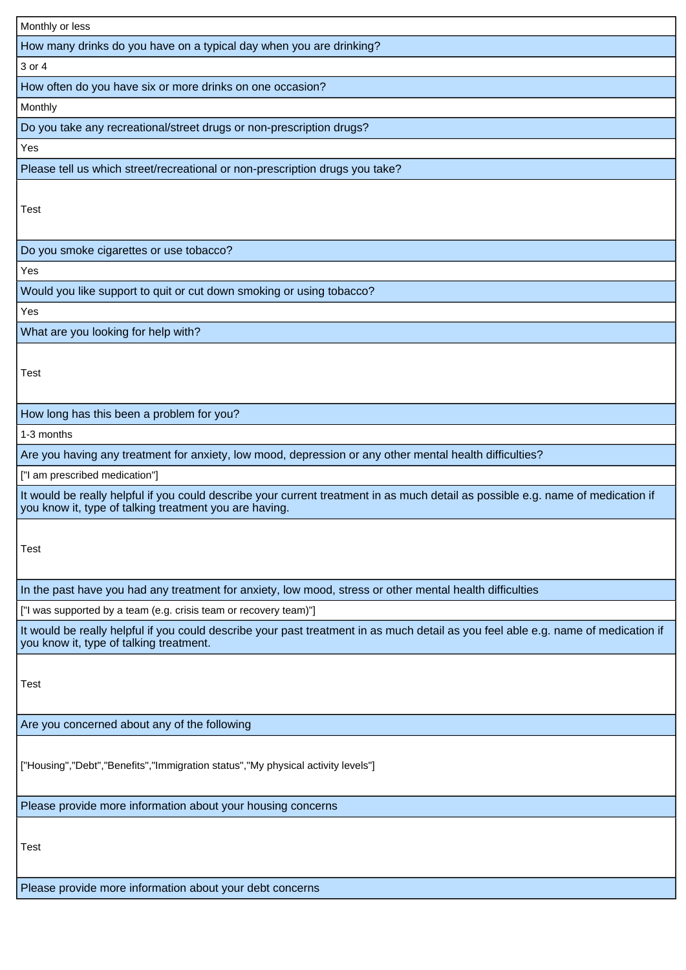| Monthly or less                                                                                                                                                                            |
|--------------------------------------------------------------------------------------------------------------------------------------------------------------------------------------------|
| How many drinks do you have on a typical day when you are drinking?                                                                                                                        |
| 3 or 4                                                                                                                                                                                     |
| How often do you have six or more drinks on one occasion?                                                                                                                                  |
| Monthly                                                                                                                                                                                    |
| Do you take any recreational/street drugs or non-prescription drugs?                                                                                                                       |
| Yes                                                                                                                                                                                        |
| Please tell us which street/recreational or non-prescription drugs you take?                                                                                                               |
| <b>Test</b>                                                                                                                                                                                |
| Do you smoke cigarettes or use tobacco?                                                                                                                                                    |
| Yes                                                                                                                                                                                        |
| Would you like support to quit or cut down smoking or using tobacco?                                                                                                                       |
| Yes                                                                                                                                                                                        |
| What are you looking for help with?                                                                                                                                                        |
| <b>Test</b>                                                                                                                                                                                |
| How long has this been a problem for you?                                                                                                                                                  |
| 1-3 months                                                                                                                                                                                 |
| Are you having any treatment for anxiety, low mood, depression or any other mental health difficulties?                                                                                    |
| ["I am prescribed medication"]                                                                                                                                                             |
| It would be really helpful if you could describe your current treatment in as much detail as possible e.g. name of medication if<br>you know it, type of talking treatment you are having. |
| Test                                                                                                                                                                                       |
| In the past have you had any treatment for anxiety, low mood, stress or other mental health difficulties                                                                                   |
| ["I was supported by a team (e.g. crisis team or recovery team)"]                                                                                                                          |
| It would be really helpful if you could describe your past treatment in as much detail as you feel able e.g. name of medication if<br>you know it, type of talking treatment.              |
| Test                                                                                                                                                                                       |
| Are you concerned about any of the following                                                                                                                                               |
| ["Housing","Debt","Benefits","Immigration status","My physical activity levels"]                                                                                                           |
| Please provide more information about your housing concerns                                                                                                                                |
| Test                                                                                                                                                                                       |
| Please provide more information about your debt concerns                                                                                                                                   |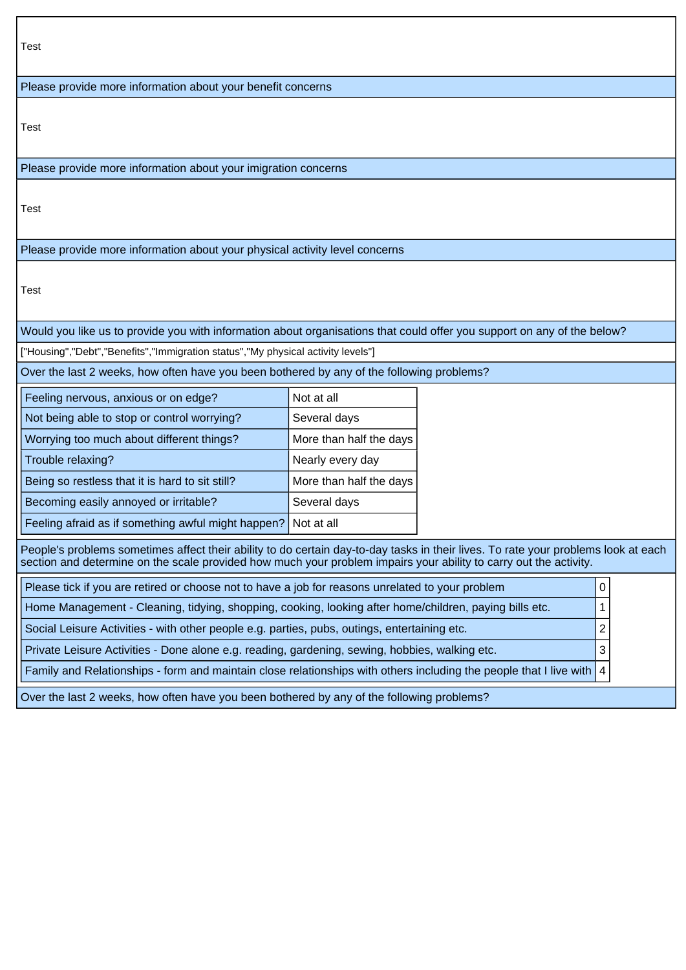| Test                                                                                                                                                                                                                                                    |                         |  |   |  |  |  |
|---------------------------------------------------------------------------------------------------------------------------------------------------------------------------------------------------------------------------------------------------------|-------------------------|--|---|--|--|--|
| Please provide more information about your benefit concerns                                                                                                                                                                                             |                         |  |   |  |  |  |
| Test                                                                                                                                                                                                                                                    |                         |  |   |  |  |  |
| Please provide more information about your imigration concerns                                                                                                                                                                                          |                         |  |   |  |  |  |
| Test                                                                                                                                                                                                                                                    |                         |  |   |  |  |  |
| Please provide more information about your physical activity level concerns                                                                                                                                                                             |                         |  |   |  |  |  |
| Test                                                                                                                                                                                                                                                    |                         |  |   |  |  |  |
| Would you like us to provide you with information about organisations that could offer you support on any of the below?                                                                                                                                 |                         |  |   |  |  |  |
| ["Housing","Debt","Benefits","Immigration status","My physical activity levels"]                                                                                                                                                                        |                         |  |   |  |  |  |
| Over the last 2 weeks, how often have you been bothered by any of the following problems?                                                                                                                                                               |                         |  |   |  |  |  |
| Feeling nervous, anxious or on edge?                                                                                                                                                                                                                    | Not at all              |  |   |  |  |  |
| Not being able to stop or control worrying?                                                                                                                                                                                                             | Several days            |  |   |  |  |  |
| Worrying too much about different things?                                                                                                                                                                                                               | More than half the days |  |   |  |  |  |
| Trouble relaxing?                                                                                                                                                                                                                                       | Nearly every day        |  |   |  |  |  |
| Being so restless that it is hard to sit still?                                                                                                                                                                                                         | More than half the days |  |   |  |  |  |
| Becoming easily annoyed or irritable?<br>Several days                                                                                                                                                                                                   |                         |  |   |  |  |  |
| Feeling afraid as if something awful might happen?                                                                                                                                                                                                      | Not at all              |  |   |  |  |  |
| People's problems sometimes affect their ability to do certain day-to-day tasks in their lives. To rate your problems look at each<br>section and determine on the scale provided how much your problem impairs your ability to carry out the activity. |                         |  |   |  |  |  |
| Please tick if you are retired or choose not to have a job for reasons unrelated to your problem                                                                                                                                                        |                         |  | 0 |  |  |  |
| Home Management - Cleaning, tidying, shopping, cooking, looking after home/children, paying bills etc.                                                                                                                                                  |                         |  |   |  |  |  |
| Social Leisure Activities - with other people e.g. parties, pubs, outings, entertaining etc.                                                                                                                                                            |                         |  |   |  |  |  |
| Private Leisure Activities - Done alone e.g. reading, gardening, sewing, hobbies, walking etc.                                                                                                                                                          |                         |  | 3 |  |  |  |
| Family and Relationships - form and maintain close relationships with others including the people that I live with   4                                                                                                                                  |                         |  |   |  |  |  |
| Over the last 2 weeks, how often have you been bothered by any of the following problems?                                                                                                                                                               |                         |  |   |  |  |  |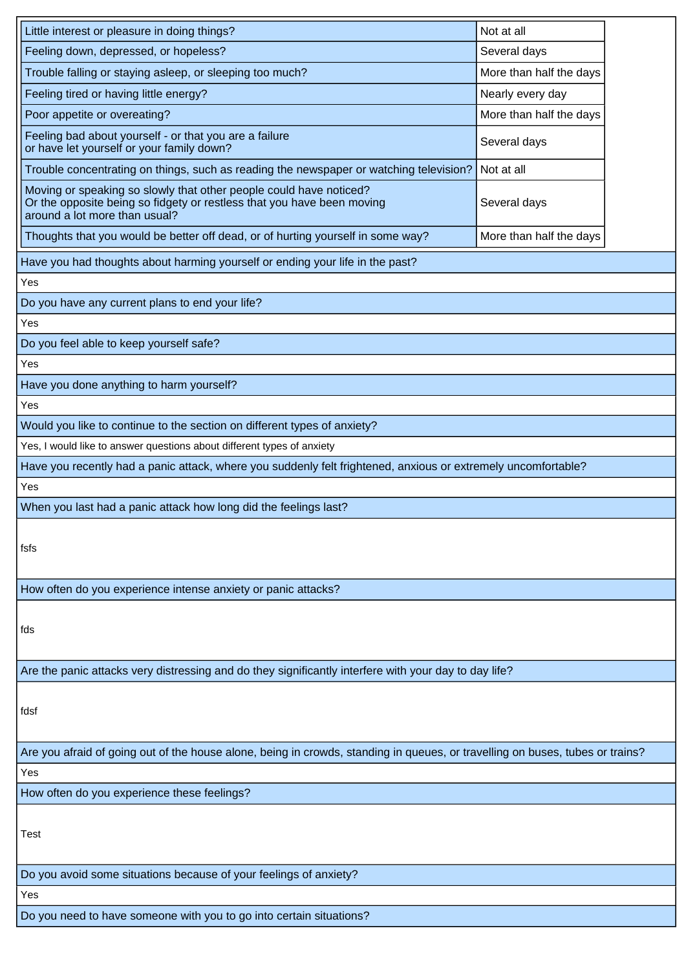| Little interest or pleasure in doing things?                                                                                                                                  | Not at all              |  |  |  |  |
|-------------------------------------------------------------------------------------------------------------------------------------------------------------------------------|-------------------------|--|--|--|--|
| Feeling down, depressed, or hopeless?                                                                                                                                         | Several days            |  |  |  |  |
| Trouble falling or staying asleep, or sleeping too much?                                                                                                                      | More than half the days |  |  |  |  |
| Feeling tired or having little energy?                                                                                                                                        | Nearly every day        |  |  |  |  |
| Poor appetite or overeating?                                                                                                                                                  | More than half the days |  |  |  |  |
| Feeling bad about yourself - or that you are a failure<br>or have let yourself or your family down?                                                                           | Several days            |  |  |  |  |
| Trouble concentrating on things, such as reading the newspaper or watching television?                                                                                        | Not at all              |  |  |  |  |
| Moving or speaking so slowly that other people could have noticed?<br>Or the opposite being so fidgety or restless that you have been moving<br>around a lot more than usual? | Several days            |  |  |  |  |
| Thoughts that you would be better off dead, or of hurting yourself in some way?                                                                                               | More than half the days |  |  |  |  |
| Have you had thoughts about harming yourself or ending your life in the past?                                                                                                 |                         |  |  |  |  |
| Yes                                                                                                                                                                           |                         |  |  |  |  |
| Do you have any current plans to end your life?                                                                                                                               |                         |  |  |  |  |
| Yes                                                                                                                                                                           |                         |  |  |  |  |
| Do you feel able to keep yourself safe?                                                                                                                                       |                         |  |  |  |  |
| Yes                                                                                                                                                                           |                         |  |  |  |  |
| Have you done anything to harm yourself?                                                                                                                                      |                         |  |  |  |  |
| Yes                                                                                                                                                                           |                         |  |  |  |  |
| Would you like to continue to the section on different types of anxiety?                                                                                                      |                         |  |  |  |  |
| Yes, I would like to answer questions about different types of anxiety                                                                                                        |                         |  |  |  |  |
| Have you recently had a panic attack, where you suddenly felt frightened, anxious or extremely uncomfortable?                                                                 |                         |  |  |  |  |
| Yes                                                                                                                                                                           |                         |  |  |  |  |
| When you last had a panic attack how long did the feelings last?                                                                                                              |                         |  |  |  |  |
| fsfs                                                                                                                                                                          |                         |  |  |  |  |
| How often do you experience intense anxiety or panic attacks?                                                                                                                 |                         |  |  |  |  |
| fds                                                                                                                                                                           |                         |  |  |  |  |
| Are the panic attacks very distressing and do they significantly interfere with your day to day life?                                                                         |                         |  |  |  |  |
| fdsf                                                                                                                                                                          |                         |  |  |  |  |
| Are you afraid of going out of the house alone, being in crowds, standing in queues, or travelling on buses, tubes or trains?                                                 |                         |  |  |  |  |
| Yes                                                                                                                                                                           |                         |  |  |  |  |
| How often do you experience these feelings?                                                                                                                                   |                         |  |  |  |  |
| Test                                                                                                                                                                          |                         |  |  |  |  |
| Do you avoid some situations because of your feelings of anxiety?                                                                                                             |                         |  |  |  |  |
| Yes                                                                                                                                                                           |                         |  |  |  |  |
| Do you need to have someone with you to go into certain situations?                                                                                                           |                         |  |  |  |  |
|                                                                                                                                                                               |                         |  |  |  |  |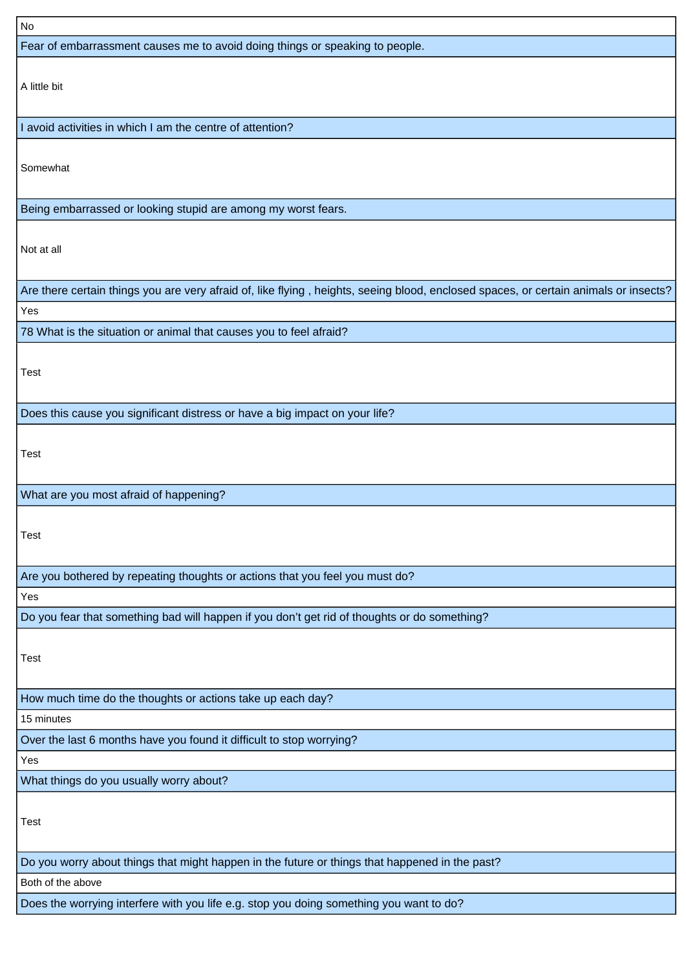| No                                                                                                                                   |
|--------------------------------------------------------------------------------------------------------------------------------------|
| Fear of embarrassment causes me to avoid doing things or speaking to people.                                                         |
|                                                                                                                                      |
| A little bit                                                                                                                         |
|                                                                                                                                      |
| avoid activities in which I am the centre of attention?                                                                              |
|                                                                                                                                      |
| Somewhat                                                                                                                             |
|                                                                                                                                      |
| Being embarrassed or looking stupid are among my worst fears.                                                                        |
|                                                                                                                                      |
| Not at all                                                                                                                           |
|                                                                                                                                      |
| Are there certain things you are very afraid of, like flying, heights, seeing blood, enclosed spaces, or certain animals or insects? |
| Yes                                                                                                                                  |
| 78 What is the situation or animal that causes you to feel afraid?                                                                   |
|                                                                                                                                      |
| Test                                                                                                                                 |
|                                                                                                                                      |
| Does this cause you significant distress or have a big impact on your life?                                                          |
|                                                                                                                                      |
| Test                                                                                                                                 |
|                                                                                                                                      |
| What are you most afraid of happening?                                                                                               |
|                                                                                                                                      |
| Test                                                                                                                                 |
|                                                                                                                                      |
| Are you bothered by repeating thoughts or actions that you feel you must do?                                                         |
| Yes                                                                                                                                  |
| Do you fear that something bad will happen if you don't get rid of thoughts or do something?                                         |
|                                                                                                                                      |
| <b>Test</b>                                                                                                                          |
|                                                                                                                                      |
| How much time do the thoughts or actions take up each day?                                                                           |
| 15 minutes                                                                                                                           |
| Over the last 6 months have you found it difficult to stop worrying?                                                                 |
| Yes                                                                                                                                  |
| What things do you usually worry about?                                                                                              |
|                                                                                                                                      |
| Test                                                                                                                                 |
|                                                                                                                                      |
| Do you worry about things that might happen in the future or things that happened in the past?                                       |
| Both of the above                                                                                                                    |
| Does the worrying interfere with you life e.g. stop you doing something you want to do?                                              |
|                                                                                                                                      |